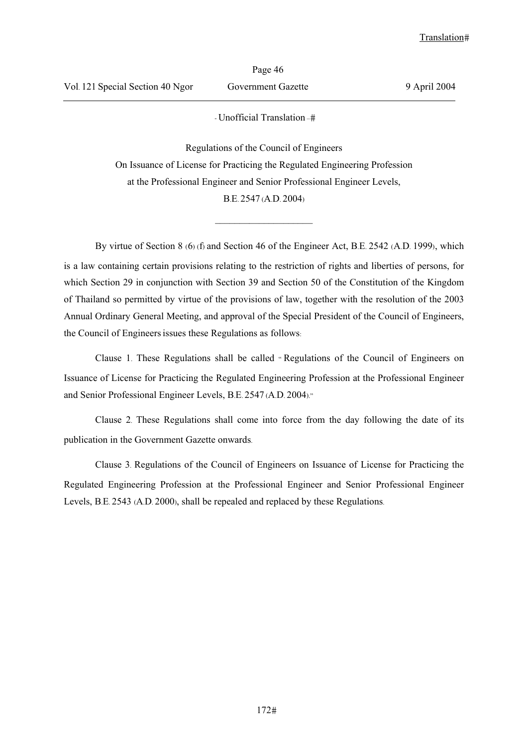- Unofficial Translation –

Regulations of the Council of Engineers On Issuance of License for Practicing the Regulated Engineering Profession at the Professional Engineer and Senior Professional Engineer Levels, B.E. 2547 (A.D. 2004)

 $\frac{1}{2}$  ,  $\frac{1}{2}$  ,  $\frac{1}{2}$  ,  $\frac{1}{2}$  ,  $\frac{1}{2}$  ,  $\frac{1}{2}$  ,  $\frac{1}{2}$  ,  $\frac{1}{2}$  ,  $\frac{1}{2}$  ,  $\frac{1}{2}$ 

By virtue of Section 8 (6) (f) and Section 46 of the Engineer Act, B.E. 2542 (A.D. 1999), which is a law containing certain provisions relating to the restriction of rights and liberties of persons, for which Section 29 in conjunction with Section 39 and Section 50 of the Constitution of the Kingdom of Thailand so permitted by virtue of the provisions of law, together with the resolution of the 2003 Annual Ordinary General Meeting, and approval of the Special President of the Council of Engineers, the Council of Engineersissues these Regulations as follows:

Clause 1. These Regulations shall be called " Regulations of the Council of Engineers on Issuance of License for Practicing the Regulated Engineering Profession at the Professional Engineer and Senior Professional Engineer Levels, B.E. 2547 (A.D. 2004)."

Clause 2. These Regulations shall come into force from the day following the date of its publication in the Government Gazette onwards.

Clause 3. Regulations of the Council of Engineers on Issuance of License for Practicing the Regulated Engineering Profession at the Professional Engineer and Senior Professional Engineer Levels, B.E. 2543 (A.D. 2000), shall be repealed and replaced by these Regulations.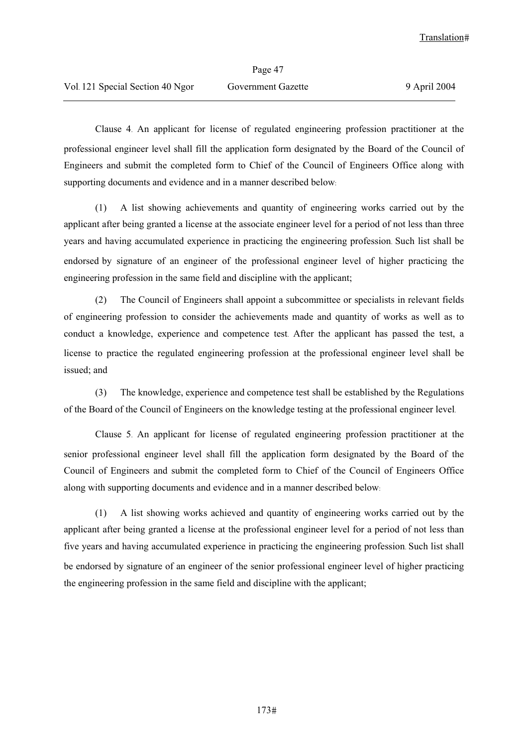Clause 4. An applicant for license of regulated engineering profession practitioner at the professional engineer level shall fill the application form designated by the Board of the Council of Engineers and submit the completed form to Chief of the Council of Engineers Office along with supporting documents and evidence and in a manner described below:

(1) A list showing achievements and quantity of engineering works carried out by the applicant after being granted a license at the associate engineer level for a period of not less than three years and having accumulated experience in practicing the engineering profession. Such list shall be endorsed by signature of an engineer of the professional engineer level of higher practicing the engineering profession in the same field and discipline with the applicant;

(2) The Council of Engineers shall appoint a subcommittee or specialists in relevant fields of engineering profession to consider the achievements made and quantity of works as well as to conduct a knowledge, experience and competence test. After the applicant has passed the test, a license to practice the regulated engineering profession at the professional engineer level shall be issued; and

(3) The knowledge, experience and competence test shall be established by the Regulations of the Board of the Council of Engineers on the knowledge testing at the professional engineer level.

Clause 5. An applicant for license of regulated engineering profession practitioner at the senior professional engineer level shall fill the application form designated by the Board of the Council of Engineers and submit the completed form to Chief of the Council of Engineers Office along with supporting documents and evidence and in a manner described below:

(1) A list showing works achieved and quantity of engineering works carried out by the applicant after being granted a license at the professional engineer level for a period of not less than five years and having accumulated experience in practicing the engineering profession. Such list shall be endorsed by signature of an engineer of the senior professional engineer level of higher practicing the engineering profession in the same field and discipline with the applicant;